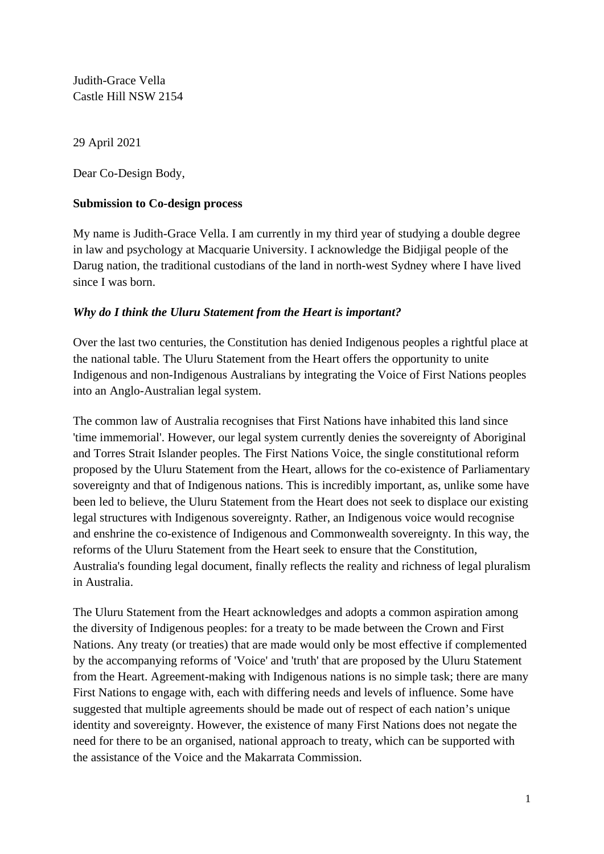Judith-Grace Vella Castle Hill NSW 2154

29 April 2021

Dear Co-Design Body,

## **Submission to Co-design process**

My name is Judith-Grace Vella. I am currently in my third year of studying a double degree in law and psychology at Macquarie University. I acknowledge the Bidjigal people of the Darug nation, the traditional custodians of the land in north-west Sydney where I have lived since I was born.

## *Why do I think the Uluru Statement from the Heart is important?*

Over the last two centuries, the Constitution has denied Indigenous peoples a rightful place at the national table. The Uluru Statement from the Heart offers the opportunity to unite Indigenous and non-Indigenous Australians by integrating the Voice of First Nations peoples into an Anglo-Australian legal system.

The common law of Australia recognises that First Nations have inhabited this land since 'time immemorial'. However, our legal system currently denies the sovereignty of Aboriginal and Torres Strait Islander peoples. The First Nations Voice, the single constitutional reform proposed by the Uluru Statement from the Heart, allows for the co-existence of Parliamentary sovereignty and that of Indigenous nations. This is incredibly important, as, unlike some have been led to believe, the Uluru Statement from the Heart does not seek to displace our existing legal structures with Indigenous sovereignty. Rather, an Indigenous voice would recognise and enshrine the co-existence of Indigenous and Commonwealth sovereignty. In this way, the reforms of the Uluru Statement from the Heart seek to ensure that the Constitution, Australia's founding legal document, finally reflects the reality and richness of legal pluralism in Australia.

The Uluru Statement from the Heart acknowledges and adopts a common aspiration among the diversity of Indigenous peoples: for a treaty to be made between the Crown and First Nations. Any treaty (or treaties) that are made would only be most effective if complemented by the accompanying reforms of 'Voice' and 'truth' that are proposed by the Uluru Statement from the Heart. Agreement-making with Indigenous nations is no simple task; there are many First Nations to engage with, each with differing needs and levels of influence. Some have suggested that multiple agreements should be made out of respect of each nation's unique identity and sovereignty. However, the existence of many First Nations does not negate the need for there to be an organised, national approach to treaty, which can be supported with the assistance of the Voice and the Makarrata Commission.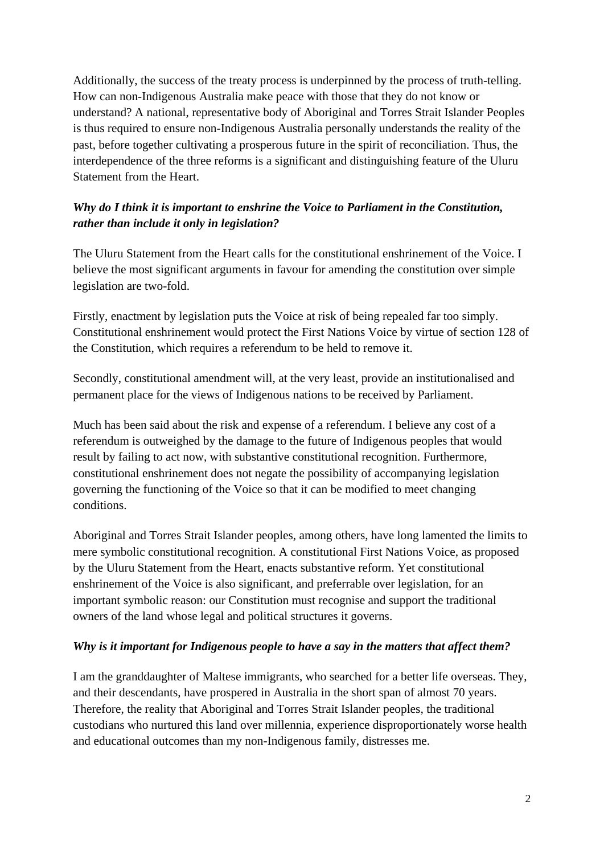Additionally, the success of the treaty process is underpinned by the process of truth-telling. How can non-Indigenous Australia make peace with those that they do not know or understand? A national, representative body of Aboriginal and Torres Strait Islander Peoples is thus required to ensure non-Indigenous Australia personally understands the reality of the past, before together cultivating a prosperous future in the spirit of reconciliation. Thus, the interdependence of the three reforms is a significant and distinguishing feature of the Uluru Statement from the Heart.

# *Why do I think it is important to enshrine the Voice to Parliament in the Constitution, rather than include it only in legislation?*

The Uluru Statement from the Heart calls for the constitutional enshrinement of the Voice. I believe the most significant arguments in favour for amending the constitution over simple legislation are two-fold.

Firstly, enactment by legislation puts the Voice at risk of being repealed far too simply. Constitutional enshrinement would protect the First Nations Voice by virtue of section 128 of the Constitution, which requires a referendum to be held to remove it.

Secondly, constitutional amendment will, at the very least, provide an institutionalised and permanent place for the views of Indigenous nations to be received by Parliament.

Much has been said about the risk and expense of a referendum. I believe any cost of a referendum is outweighed by the damage to the future of Indigenous peoples that would result by failing to act now, with substantive constitutional recognition. Furthermore, constitutional enshrinement does not negate the possibility of accompanying legislation governing the functioning of the Voice so that it can be modified to meet changing conditions.

Aboriginal and Torres Strait Islander peoples, among others, have long lamented the limits to mere symbolic constitutional recognition. A constitutional First Nations Voice, as proposed by the Uluru Statement from the Heart, enacts substantive reform. Yet constitutional enshrinement of the Voice is also significant, and preferrable over legislation, for an important symbolic reason: our Constitution must recognise and support the traditional owners of the land whose legal and political structures it governs.

## *Why is it important for Indigenous people to have a say in the matters that affect them?*

I am the granddaughter of Maltese immigrants, who searched for a better life overseas. They, and their descendants, have prospered in Australia in the short span of almost 70 years. Therefore, the reality that Aboriginal and Torres Strait Islander peoples, the traditional custodians who nurtured this land over millennia, experience disproportionately worse health and educational outcomes than my non-Indigenous family, distresses me.